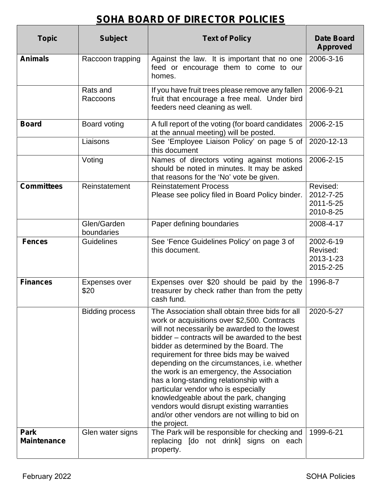# **SOHA BOARD OF DIRECTOR POLICIES**

| <b>Topic</b>                      | <b>Subject</b>            | <b>Text of Policy</b>                                                                                                                                                                                                                                                                                                                                                                                                                                                                                                                                                                                                            | <b>Date Board</b><br><b>Approved</b>            |
|-----------------------------------|---------------------------|----------------------------------------------------------------------------------------------------------------------------------------------------------------------------------------------------------------------------------------------------------------------------------------------------------------------------------------------------------------------------------------------------------------------------------------------------------------------------------------------------------------------------------------------------------------------------------------------------------------------------------|-------------------------------------------------|
| <b>Animals</b>                    | Raccoon trapping          | Against the law. It is important that no one<br>feed or encourage them to come to our<br>homes.                                                                                                                                                                                                                                                                                                                                                                                                                                                                                                                                  | 2006-3-16                                       |
|                                   | Rats and<br>Raccoons      | If you have fruit trees please remove any fallen<br>fruit that encourage a free meal. Under bird<br>feeders need cleaning as well.                                                                                                                                                                                                                                                                                                                                                                                                                                                                                               | 2006-9-21                                       |
| <b>Board</b>                      | Board voting<br>Liaisons  | A full report of the voting (for board candidates<br>at the annual meeting) will be posted.<br>See 'Employee Liaison Policy' on page 5 of<br>this document                                                                                                                                                                                                                                                                                                                                                                                                                                                                       | 2006-2-15<br>2020-12-13                         |
|                                   | Voting                    | Names of directors voting against motions<br>should be noted in minutes. It may be asked<br>that reasons for the 'No' vote be given.                                                                                                                                                                                                                                                                                                                                                                                                                                                                                             | 2006-2-15                                       |
| <b>Committees</b>                 | Reinstatement             | <b>Reinstatement Process</b><br>Please see policy filed in Board Policy binder.                                                                                                                                                                                                                                                                                                                                                                                                                                                                                                                                                  | Revised:<br>2012-7-25<br>2011-5-25<br>2010-8-25 |
|                                   | Glen/Garden<br>boundaries | Paper defining boundaries                                                                                                                                                                                                                                                                                                                                                                                                                                                                                                                                                                                                        | 2008-4-17                                       |
| <b>Fences</b>                     | <b>Guidelines</b>         | See 'Fence Guidelines Policy' on page 3 of<br>this document.                                                                                                                                                                                                                                                                                                                                                                                                                                                                                                                                                                     | 2002-6-19<br>Revised:<br>2013-1-23<br>2015-2-25 |
| <b>Finances</b>                   | Expenses over<br>\$20     | Expenses over \$20 should be paid by the<br>treasurer by check rather than from the petty<br>cash fund.                                                                                                                                                                                                                                                                                                                                                                                                                                                                                                                          | 1996-8-7                                        |
|                                   | <b>Bidding process</b>    | The Association shall obtain three bids for all<br>work or acquisitions over \$2,500. Contracts<br>will not necessarily be awarded to the lowest<br>bidder – contracts will be awarded to the best<br>bidder as determined by the Board. The<br>requirement for three bids may be waived<br>depending on the circumstances, i.e. whether<br>the work is an emergency, the Association<br>has a long-standing relationship with a<br>particular vendor who is especially<br>knowledgeable about the park, changing<br>vendors would disrupt existing warranties<br>and/or other vendors are not willing to bid on<br>the project. | 2020-5-27                                       |
| <b>Park</b><br><b>Maintenance</b> | Glen water signs          | The Park will be responsible for checking and<br>replacing [do not drink] signs on each<br>property.                                                                                                                                                                                                                                                                                                                                                                                                                                                                                                                             | 1999-6-21                                       |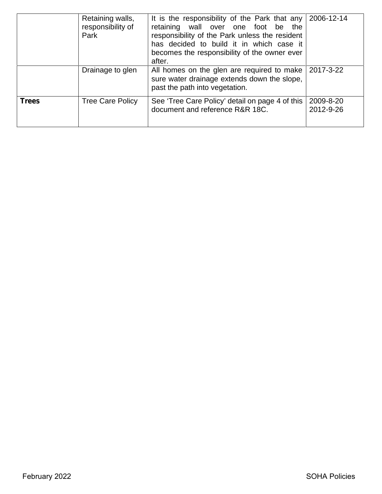|              | Retaining walls,<br>responsibility of<br>Park | It is the responsibility of the Park that any $\vert$ 2006-12-14<br>retaining wall over one foot be the<br>responsibility of the Park unless the resident<br>has decided to build it in which case it<br>becomes the responsibility of the owner ever<br>after. |                        |
|--------------|-----------------------------------------------|-----------------------------------------------------------------------------------------------------------------------------------------------------------------------------------------------------------------------------------------------------------------|------------------------|
|              | Drainage to glen                              | All homes on the glen are required to make 2017-3-22<br>sure water drainage extends down the slope,<br>past the path into vegetation.                                                                                                                           |                        |
| <b>Trees</b> | <b>Tree Care Policy</b>                       | See 'Tree Care Policy' detail on page 4 of this<br>document and reference R&R 18C.                                                                                                                                                                              | 2009-8-20<br>2012-9-26 |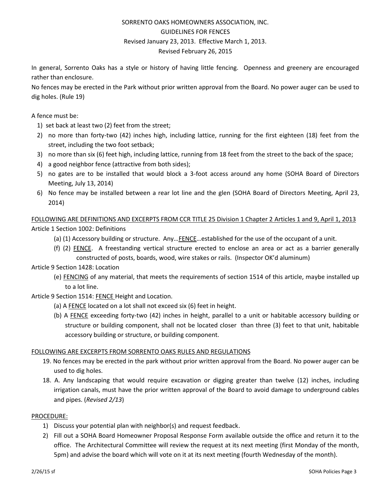# SORRENTO OAKS HOMEOWNERS ASSOCIATION, INC. GUIDELINES FOR FENCES Revised January 23, 2013. Effective March 1, 2013. Revised February 26, 2015

In general, Sorrento Oaks has a style or history of having little fencing. Openness and greenery are encouraged rather than enclosure.

No fences may be erected in the Park without prior written approval from the Board. No power auger can be used to dig holes. (Rule 19)

#### A fence must be:

- 1) set back at least two (2) feet from the street;
- 2) no more than forty-two (42) inches high, including lattice, running for the first eighteen (18) feet from the street, including the two foot setback;
- 3) no more than six (6) feet high, including lattice, running from 18 feet from the street to the back of the space;
- 4) a good neighbor fence (attractive from both sides);
- 5) no gates are to be installed that would block a 3-foot access around any home (SOHA Board of Directors Meeting, July 13, 2014)
- 6) No fence may be installed between a rear lot line and the glen (SOHA Board of Directors Meeting, April 23, 2014)

FOLLOWING ARE DEFINITIONS AND EXCERPTS FROM CCR TITLE 25 Division 1 Chapter 2 Articles 1 and 9, April 1, 2013 Article 1 Section 1002: Definitions

- (a) (1) Accessory building or structure. Any…FENCE…established for the use of the occupant of a unit.
- (f) (2) FENCE. A freestanding vertical structure erected to enclose an area or act as a barrier generally constructed of posts, boards, wood, wire stakes or rails. (Inspector OK'd aluminum)

### Article 9 Section 1428: Location

- (e) FENCING of any material, that meets the requirements of section 1514 of this article, maybe installed up to a lot line.
- Article 9 Section 1514: FENCE Height and Location.
	- (a) A FENCE located on a lot shall not exceed six (6) feet in height.
	- (b) A FENCE exceeding forty-two (42) inches in height, parallel to a unit or habitable accessory building or structure or building component, shall not be located closer than three (3) feet to that unit, habitable accessory building or structure, or building component.

#### FOLLOWING ARE EXCERPTS FROM SORRENTO OAKS RULES AND REGULATIONS

- 19. No fences may be erected in the park without prior written approval from the Board. No power auger can be used to dig holes.
- 18. A. Any landscaping that would require excavation or digging greater than twelve (12) inches, including irrigation canals, must have the prior written approval of the Board to avoid damage to underground cables and pipes. (*Revised 2/13*)

#### PROCEDURE:

- 1) Discuss your potential plan with neighbor(s) and request feedback.
- 2) Fill out a SOHA Board Homeowner Proposal Response Form available outside the office and return it to the office. The Architectural Committee will review the request at its next meeting (first Monday of the month, 5pm) and advise the board which will vote on it at its next meeting (fourth Wednesday of the month).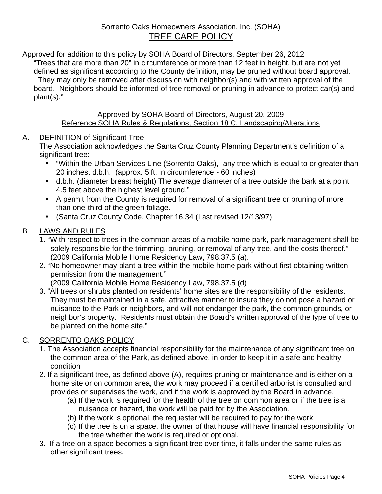# Approved for addition to this policy by SOHA Board of Directors, September 26, 2012

"Trees that are more than 20" in circumference or more than 12 feet in height, but are not yet defined as significant according to the County definition, may be pruned without board approval. They may only be removed after discussion with neighbor(s) and with written approval of the board. Neighbors should be informed of tree removal or pruning in advance to protect car(s) and plant(s)."

# Approved by SOHA Board of Directors, August 20, 2009 Reference SOHA Rules & Regulations, Section 18 C, Landscaping/Alterations

# A. DEFINITION of Significant Tree

The Association acknowledges the Santa Cruz County Planning Department's definition of a significant tree:

- "Within the Urban Services Line (Sorrento Oaks), any tree which is equal to or greater than 20 inches. d.b.h. (approx. 5 ft. in circumference - 60 inches)
- d.b.h. (diameter breast height) The average diameter of a tree outside the bark at a point 4.5 feet above the highest level ground."
- A permit from the County is required for removal of a significant tree or pruning of more than one-third of the green foliage.
- (Santa Cruz County Code, Chapter 16.34 (Last revised 12/13/97)

# B. LAWS AND RULES

- 1. "With respect to trees in the common areas of a mobile home park, park management shall be solely responsible for the trimming, pruning, or removal of any tree, and the costs thereof." (2009 California Mobile Home Residency Law, 798.37.5 (a).
- 2. "No homeowner may plant a tree within the mobile home park without first obtaining written permission from the management."

(2009 California Mobile Home Residency Law, 798.37.5 (d)

3. "All trees or shrubs planted on residents' home sites are the responsibility of the residents. They must be maintained in a safe, attractive manner to insure they do not pose a hazard or nuisance to the Park or neighbors, and will not endanger the park, the common grounds, or neighbor's property. Residents must obtain the Board's written approval of the type of tree to be planted on the home site."

# C. SORRENTO OAKS POLICY

- 1. The Association accepts financial responsibility for the maintenance of any significant tree on the common area of the Park, as defined above, in order to keep it in a safe and healthy condition
- 2. If a significant tree, as defined above (A), requires pruning or maintenance and is either on a home site or on common area, the work may proceed if a certified arborist is consulted and provides or supervises the work, and if the work is approved by the Board in advance.
	- (a) If the work is required for the health of the tree on common area or if the tree is a nuisance or hazard, the work will be paid for by the Association.
	- (b) If the work is optional, the requester will be required to pay for the work.
	- (c) If the tree is on a space, the owner of that house will have financial responsibility for the tree whether the work is required or optional.
- 3. If a tree on a space becomes a significant tree over time, it falls under the same rules as other significant trees.